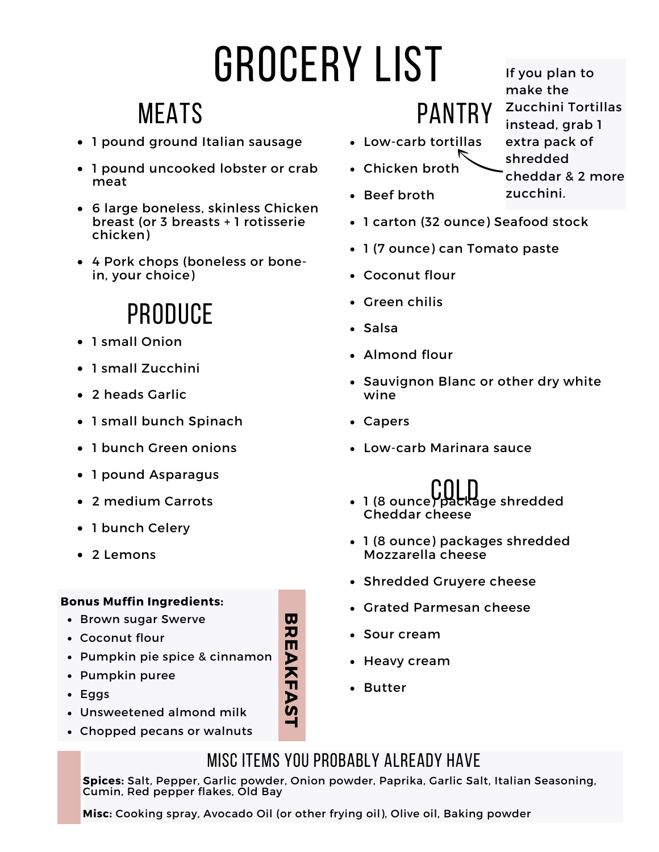# grocery list

### **MEATS**

- 1 pound ground Italian sausage
- 1 pound uncooked lobster or crab meat
- 6 large boneless, skinless Chicken breast (or 3 breasts + 1 rotisserie chicken)
- 4 Pork chops (boneless or bonein, your choice)

## **PRODUCE**

- 1 small Onion
- 1 small Zucchini
- 2 heads Garlic
- 1 small bunch Spinach
- 1 bunch Green onions
- 1 pound Asparagus
- 2 medium Carrots
- 1 bunch Celery
- 2 Lemons

#### **Bonus Muffin Ingredients:**

- Brown sugar Swerve
- Coconut flour
- Pumpkin pie spice & cinnamon
- Pumpkin puree
- Eggs
- Unsweetened almond milk
- Chopped pecans or walnuts
- Low-carb tortillas
- 
- Chicken broth
- Beef broth
- 1 carton (32 ounce) Seafood stock
- 1 (7 ounce) can Tomato paste

**PANTRY** 

- Coconut flour
- Green chilis
- Salsa
- Almond flour
- Sauvignon Blanc or other dry white wine
- Capers
- Low-carb Marinara sauce
- 1 (8 ounce) package shredded Cheddar cheese
- 1 (8 ounce) packages shredded Mozzarella cheese
- Shredded Gruyere cheese
- Grated Parmesan cheese
- Sour cream
- Heavy cream
- Butter

#### Misc Items you probably already have

**Spices:** Salt, Pepper, Garlic powder, Onion powder, Paprika, Garlic Salt, Italian Seasoning, Cumin, Red pepper flakes, Old Bay

**Misc:** Cooking spray, Avocado Oil (or other frying oil), Olive oil, Baking powder

make the Zucchini Tortillas instead, grab 1 extra pack of shredded cheddar & 2 more zucchini.

If you plan to



**B**